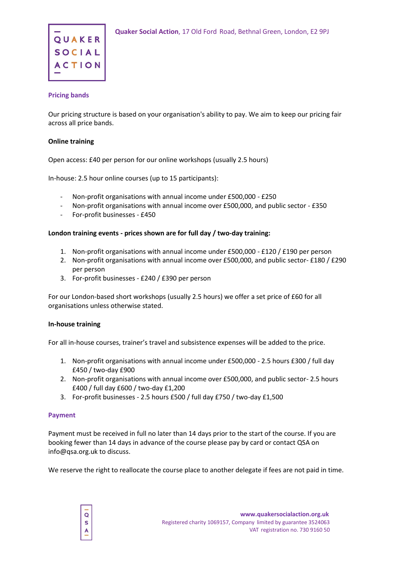

# **Pricing bands**

Our pricing structure is based on your organisation's ability to pay. We aim to keep our pricing fair across all price bands.

# **Online training**

Open access: £40 per person for our online workshops (usually 2.5 hours)

In-house: 2.5 hour online courses (up to 15 participants):

- Non-profit organisations with annual income under £500,000 £250
- Non-profit organisations with annual income over £500,000, and public sector £350
- For-profit businesses £450

# **London training events - prices shown are for full day / two-day training:**

- 1. Non-profit organisations with annual income under £500,000 £120 / £190 per person
- 2. Non-profit organisations with annual income over £500,000, and public sector-£180 / £290 per person
- 3. For-profit businesses £240 / £390 per person

For our London-based short workshops (usually 2.5 hours) we offer a set price of £60 for all organisations unless otherwise stated.

## **In-house training**

For all in-house courses, trainer's travel and subsistence expenses will be added to the price.

- 1. Non-profit organisations with annual income under £500,000 2.5 hours £300 / full day £450 / two-day £900
- 2. Non-profit organisations with annual income over £500,000, and public sector- 2.5 hours £400 / full day £600 / two-day £1,200
- 3. For-profit businesses 2.5 hours £500 / full day £750 / two-day £1,500

## **Payment**

Payment must be received in full no later than 14 days prior to the start of the course. If you are booking fewer than 14 days in advance of the course please pay by card or contact QSA on info@qsa.org.uk to discuss.

We reserve the right to reallocate the course place to another delegate if fees are not paid in time.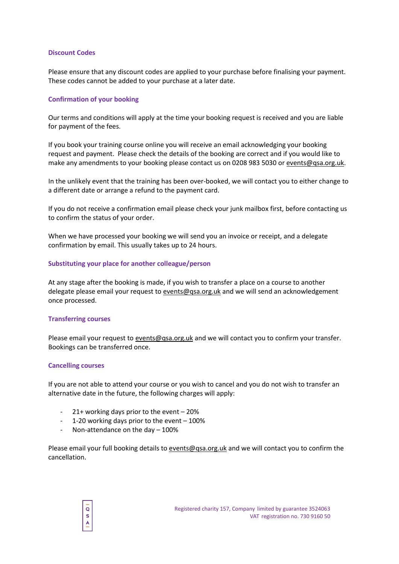### **Discount Codes**

Please ensure that any discount codes are applied to your purchase before finalising your payment. These codes cannot be added to your purchase at a later date.

### **Confirmation of your booking**

Our terms and conditions will apply at the time your booking request is received and you are liable for payment of the fees.

If you book your training course online you will receive an email acknowledging your booking request and payment. Please check the details of the booking are correct and if you would like to make any amendments to your booking please contact us on 0208 983 5030 or [events@qsa.org.uk.](mailto:events@qsa.org.uk)

In the unlikely event that the training has been over-booked, we will contact you to either change to a different date or arrange a refund to the payment card.

If you do not receive a confirmation email please check your junk mailbox first, before contacting us to confirm the status of your order.

When we have processed your booking we will send you an invoice or receipt, and a delegate confirmation by email. This usually takes up to 24 hours.

#### **Substituting your place for another colleague/person**

At any stage after the booking is made, if you wish to transfer a place on a course to another delegate please email your request to [events@qsa.org.uk](mailto:events@qsa.org.uk) and we will send an acknowledgement once processed.

#### **Transferring courses**

Please email your request to [events@qsa.org.uk](mailto:events@qsa.org.uk) and we will contact you to confirm your transfer. Bookings can be transferred once.

#### **Cancelling courses**

 $\overline{O}$  $\overline{\mathbf{s}}$ 

If you are not able to attend your course or you wish to cancel and you do not wish to transfer an alternative date in the future, the following charges will apply:

- 21+ working days prior to the event 20%
- 1-20 working days prior to the event 100%
- Non-attendance on the day 100%

Please email your full booking details to [events@qsa.org.uk](mailto:events@qsa.org.uk) and we will contact you to confirm the cancellation.